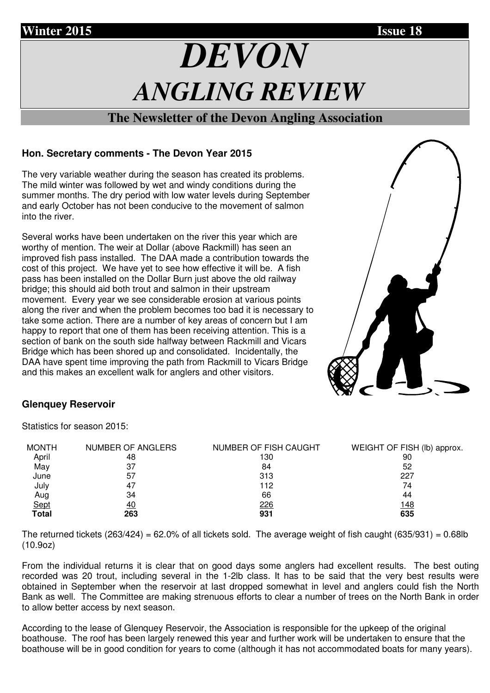# **Winter 2015 Issue 18**

# *DEVON ANGLING REVIEW*

## **The Newsletter of the Devon Angling Association**

## **Hon. Secretary comments - The Devon Year 2015**

The very variable weather during the season has created its problems. The mild winter was followed by wet and windy conditions during the summer months. The dry period with low water levels during September and early October has not been conducive to the movement of salmon into the river.

Several works have been undertaken on the river this year which are worthy of mention. The weir at Dollar (above Rackmill) has seen an improved fish pass installed. The DAA made a contribution towards the cost of this project. We have yet to see how effective it will be. A fish pass has been installed on the Dollar Burn just above the old railway bridge; this should aid both trout and salmon in their upstream movement. Every year we see considerable erosion at various points along the river and when the problem becomes too bad it is necessary to take some action. There are a number of key areas of concern but I am happy to report that one of them has been receiving attention. This is a section of bank on the south side halfway between Rackmill and Vicars Bridge which has been shored up and consolidated. Incidentally, the DAA have spent time improving the path from Rackmill to Vicars Bridge and this makes an excellent walk for anglers and other visitors.



## **Glenquey Reservoir**

Statistics for season 2015:

| <b>MONTH</b> | NUMBER OF ANGLERS | NUMBER OF FISH CAUGHT | WEIGHT OF FISH (lb) approx. |
|--------------|-------------------|-----------------------|-----------------------------|
| April        | 48                | 130                   | 90                          |
| May          | 37                | 84                    | 52                          |
| June         | 57                | 313                   | 227                         |
| July         | 47                | 112                   | 74                          |
| Aug          | 34                | 66                    | 44                          |
| Sept         | <u>40</u>         | <u>226</u>            | <u> 148</u>                 |
| <b>Total</b> | 263               | 931                   | 635                         |

The returned tickets  $(263/424) = 62.0\%$  of all tickets sold. The average weight of fish caught  $(635/931) = 0.68$ lb (10.9oz)

From the individual returns it is clear that on good days some anglers had excellent results. The best outing recorded was 20 trout, including several in the 1-2lb class. It has to be said that the very best results were obtained in September when the reservoir at last dropped somewhat in level and anglers could fish the North Bank as well. The Committee are making strenuous efforts to clear a number of trees on the North Bank in order to allow better access by next season.

According to the lease of Glenquey Reservoir, the Association is responsible for the upkeep of the original boathouse. The roof has been largely renewed this year and further work will be undertaken to ensure that the boathouse will be in good condition for years to come (although it has not accommodated boats for many years).